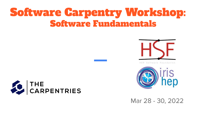# Software Carpentry Workshop: Software Fundamentals





HEP Software Foundation



Mar 28 - 30, 2022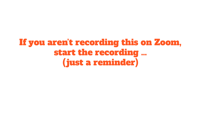#### If you aren't recording this on Zoom, start the recording … (just a reminder)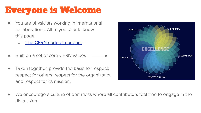## Everyone is Welcome

- You are physicists working in international collaborations. All of you should know this page:
	- [The CERN code of conduct](https://hr.web.cern.ch/codeofconduct)
- Built on a set of core CERN values
- Taken together, provide the basis for respect: respect for others, respect for the organization and respect for its mission.



We encourage a culture of openness where all contributors feel free to engage in the discussion.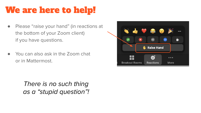## We are here to help!

- Please "raise your hand" (in reactions at the bottom of your Zoom client) if you have questions.
- You can also ask in the Zoom chat or in Mattermost.

There is no such thing as a "stupid question"!

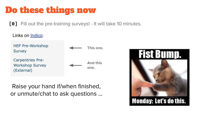## Do these things now

**[0]** Fill out the pre-training surveys! - It will take 10 minutes.



Raise your hand if/when finished, or unmute/chat to ask questions …